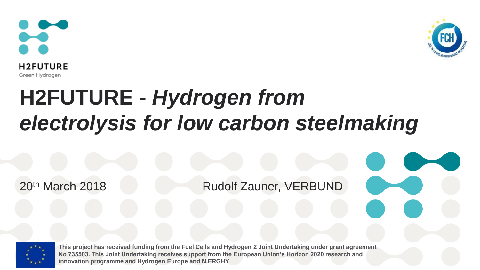



# **H2FUTURE -** *Hydrogen from electrolysis for low carbon steelmaking*

20<sup>th</sup> March 2018 **Rudolf Zauner, VERBUND** 



**This project has received funding from the Fuel Cells and Hydrogen 2 Joint Undertaking under grant agreement No 735503. This Joint Undertaking receives support from the European Union's Horizon 2020 research and innovation programme and Hydrogen Europe and N.ERGHY**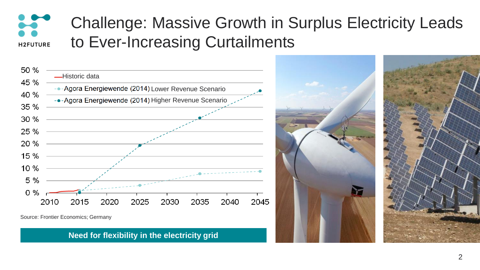#### Challenge: Massive Growth in Surplus Electricity Leads to Ever-Increasing Curtailments **H2FUTURE**



Source: Frontier Economics; Germany

**Need for flexibility in the electricity grid**

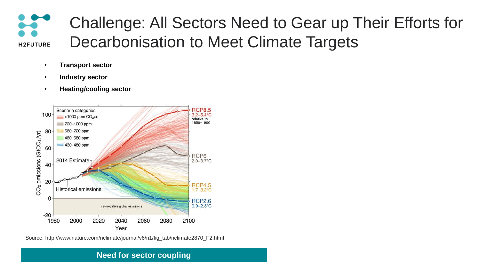

- **Transport sector**
- **Industry sector**
- **Heating/cooling sector**



Source: http://www.nature.com/nclimate/journal/v6/n1/fig\_tab/nclimate2870\_F2.html

#### **Need for sector coupling**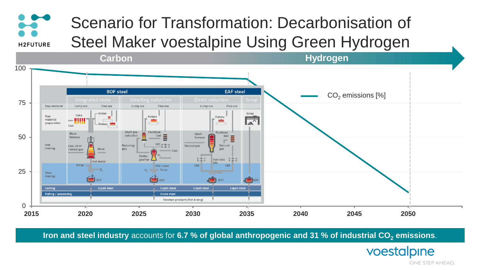## Scenario for Transformation: Decarbonisation of Steel Maker voestalpine Using Green Hydrogen

 $\blacktriangleright$ 

**H2FUTURE** 



**Iron and steel industry** accounts for 6.7 % of global anthropogenic and 31 % of industrial CO<sub>2</sub> emissions.

voestalpine

ONE STEP AHEAD.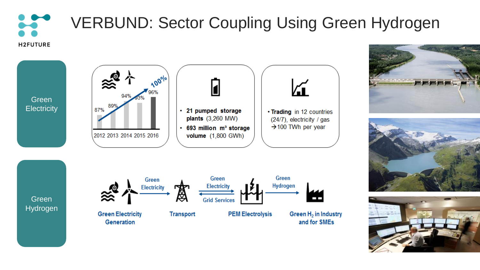## VERBUND: Sector Coupling Using Green Hydrogen**H2FUTURE**







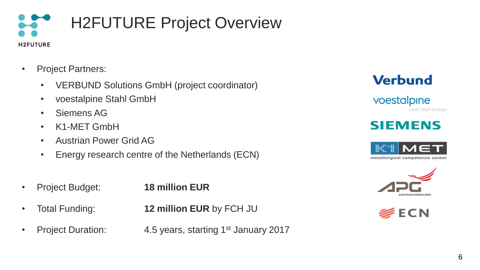

- Project Partners:
	- VERBUND Solutions GmbH (project coordinator)
	- voestalpine Stahl GmbH
	- Siemens AG
	- K1-MET GmbH
	- Austrian Power Grid AG
	- Energy research centre of the Netherlands (ECN)
- Project Budget: **18 million EUR**
- Total Funding: **12 million EUR** by FCH JU
- 
- 
- Project Duration: 4.5 years, starting 1<sup>st</sup> January 2017



voestalpine ONE STEP AHEAD.

### **SIEMENS**





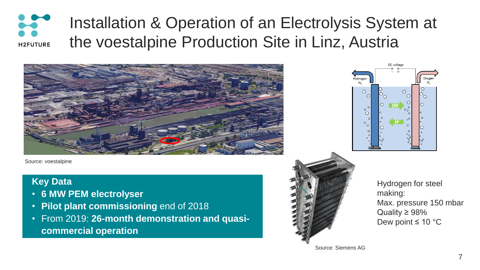#### Installation & Operation of an Electrolysis System at **ST** the voestalpine Production Site in Linz, Austria **H2FUTURE**



Source: voestalpine

#### **Key Data**

- **6 MW PEM electrolyser**
- **Pilot plant commissioning** end of 2018
- From 2019: **26-month demonstration and quasicommercial operation**





Hydrogen for steel making: Max. pressure 150 mbar Quality ≥ 98% Dew point ≤ 10 °C

Source: Siemens AG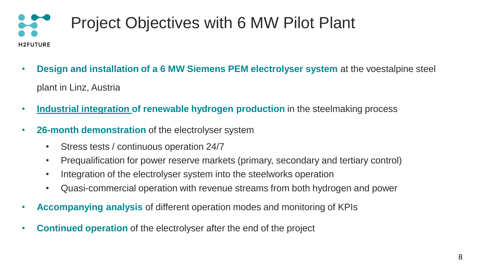### Project Objectives with 6 MW Pilot Plant **H2FUTURE**

- **Design and installation of a 6 MW Siemens PEM electrolyser system** at the voestalpine steel plant in Linz, Austria
- **Industrial integration of renewable hydrogen production** in the steelmaking process
- **26-month demonstration** of the electrolyser system
	- Stress tests / continuous operation 24/7
	- Prequalification for power reserve markets (primary, secondary and tertiary control)
	- Integration of the electrolyser system into the steelworks operation
	- Quasi-commercial operation with revenue streams from both hydrogen and power
- **Accompanying analysis** of different operation modes and monitoring of KPIs
- **Continued operation** of the electrolyser after the end of the project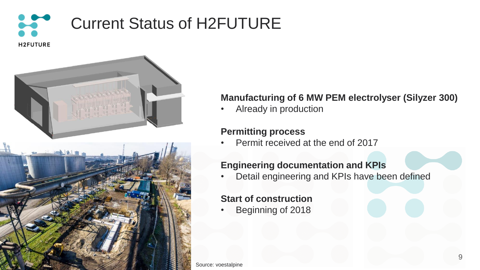



#### **Manufacturing of 6 MW PEM electrolyser (Silyzer 300)**

• Already in production

#### **Permitting process**

Permit received at the end of 2017

#### **Engineering documentation and KPIs**

Detail engineering and KPIs have been defined

#### **Start of construction**

• Beginning of 2018